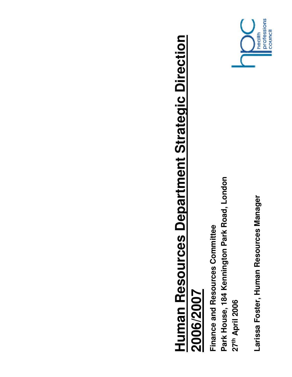

Larissa Foster, Human Resources Manager **Larissa Foster, Human Resources Manager**

Park House, 184 Kennington Park Road, London **Park House, 184 Kennington Park Road, London** Finance and Resources Committee **Finance and Resources Committee 27th April 2006**

**Human Resources Department Strategic Direction** 

Human Resources Department Strategic Direction

**2006/2007**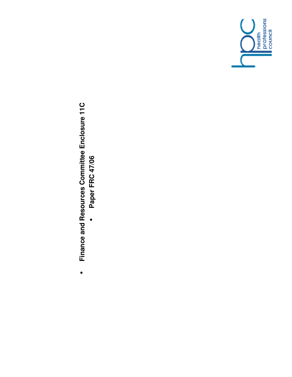

## Finance and Resources Committee Enclosure 11C **Finance and Resources Committee Enclosure 11C**

•

Paper FRC 47/06 **Paper FRC 47/06**•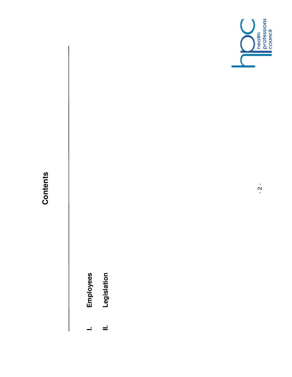

- **Employees I. Employees**  $\overline{a}$
- Legislation **II. Legislation**  $\equiv$

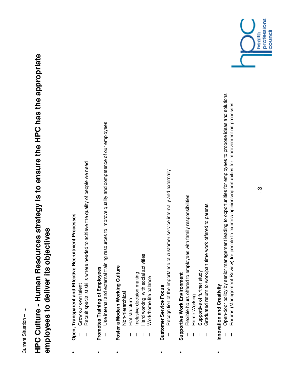Current Situation - ... Current Situation – ...

## **HPC Culture - Human Resources strategy is to ensure the HPC has the appropriate**  HPC Culture - Human Resources strategy is to ensure the HPC has the appropriate employees to deliver its objectives **employees to deliver its objectives**

 **Open, Transparent and Effective Recruitment Processes**  Open, Transparent and Effective Recruitment Processes

•

- Grow our own talent – Grow our own talent
- Recruit specialist skills where needed to achieve the quality of people we need – Recruit specialist skills where needed to achieve the quality of people we need  $\overline{\phantom{a}}$
- Promotes Training of Employees **Promotes Training of Employees**

•

- Use internal and external training resources to improve quality and competence of our employees – Use internal and external training resources to improve quality and competence of our employees
- Foster a Modern Working Culture **Foster a Modern Working Culture** •
	- Non-hierarchical – Non-hierarchical
		- Flat structure – Flat structure
- Inclusive decision making – Inclusive decision making
- Hard working with social activities – Hard working with social activities
	- **Nork/home life balance** – Work/home life balance
- **Customer Service Focus Customer Service Forms**

•

- Recognition of the importance of customer service internally and externally – Recognition of the importance of customer service internally and externally  $\overline{1}$
- Supportive Work Environment **Supportive Work Environment**

•

- Flexible hours offered to employees with family responsibilities – Flexible hours offered to employees with family responsibilities
	- Home Working – Home Working
- Supportive of further study – Supportive of further study
- Graduated return to work/part time work offered to parents – Graduated return to work/part time work offered to parents  $\overline{\phantom{a}}$
- Innovation and Creativity **Innovation and Creativity** •
- Open-door policy by senior management leading to opportunities for employees to propose ideas and solutions – Open-door policy by senior management leading to opportunities for employees to propose ideas and solutions  $\begin{array}{c} \rule{0pt}{2.5ex} \rule{0pt}{2.5ex} \rule{0pt}{2.5ex} \rule{0pt}{2.5ex} \rule{0pt}{2.5ex} \rule{0pt}{2.5ex} \rule{0pt}{2.5ex} \rule{0pt}{2.5ex} \rule{0pt}{2.5ex} \rule{0pt}{2.5ex} \rule{0pt}{2.5ex} \rule{0pt}{2.5ex} \rule{0pt}{2.5ex} \rule{0pt}{2.5ex} \rule{0pt}{2.5ex} \rule{0pt}{2.5ex} \rule{0pt}{2.5ex} \rule{0pt}{2.5ex} \rule{0pt}{2.5ex} \rule{0$ 
	- Forums (Management Review) for people to express opinions/opportunities for improvement on processes – Forums (Management Review) for people to express opinions/opportunities for improvement on processes  $\overline{\phantom{a}}$